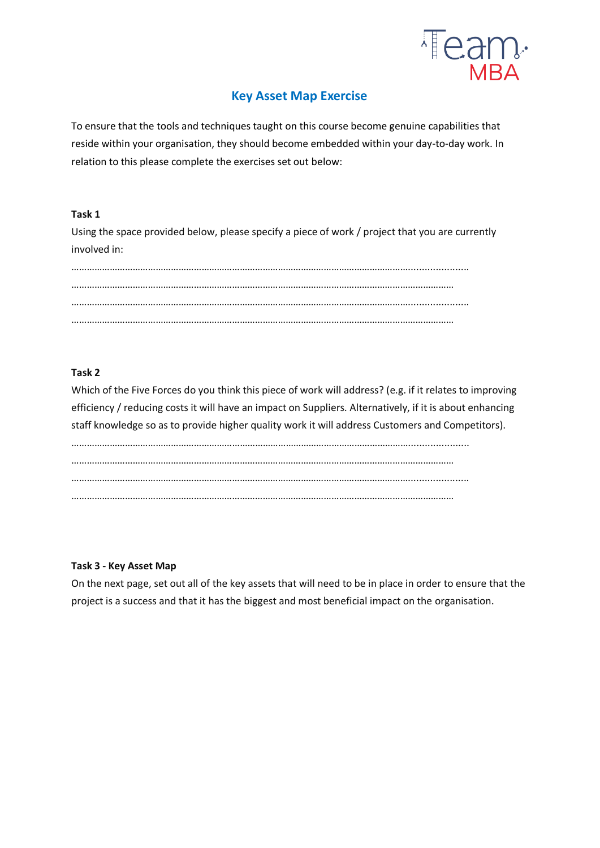

# **Key Asset Map Exercise**

To ensure that the tools and techniques taught on this course become genuine capabilities that reside within your organisation, they should become embedded within your day-to-day work. In relation to this please complete the exercises set out below:

## **Task 1**

Using the space provided below, please specify a piece of work / project that you are currently involved in:

## **Task 2**

Which of the Five Forces do you think this piece of work will address? (e.g. if it relates to improving efficiency / reducing costs it will have an impact on Suppliers. Alternatively, if it is about enhancing staff knowledge so as to provide higher quality work it will address Customers and Competitors).

……………………………………………………………………………………………………………………...................... …………………………………………………………………………………………………………………………………… ……………………………………………………………………………………………………………………...................... ……………………………………………………………………………………………………………………………………

#### **Task 3 - Key Asset Map**

On the next page, set out all of the key assets that will need to be in place in order to ensure that the project is a success and that it has the biggest and most beneficial impact on the organisation.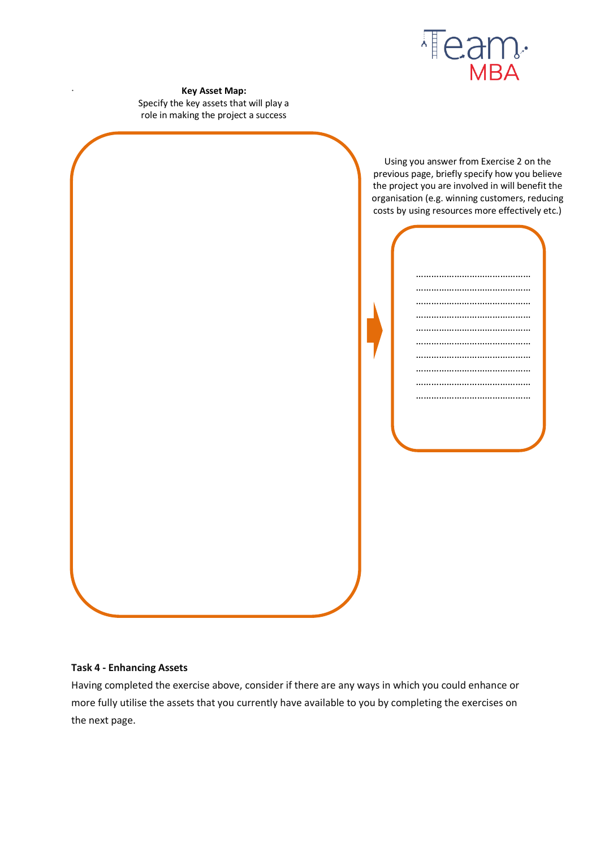

**Key Asset Map:** Specify the key assets that will play a role in making the project a success

.

Using you answer from Exercise 2 on the previous page, briefly specify how you believe the project you are involved in will benefit the organisation (e.g. winning customers, reducing costs by using resources more effectively etc.)



## **Task 4 - Enhancing Assets**

Having completed the exercise above, consider if there are any ways in which you could enhance or more fully utilise the assets that you currently have available to you by completing the exercises on the next page.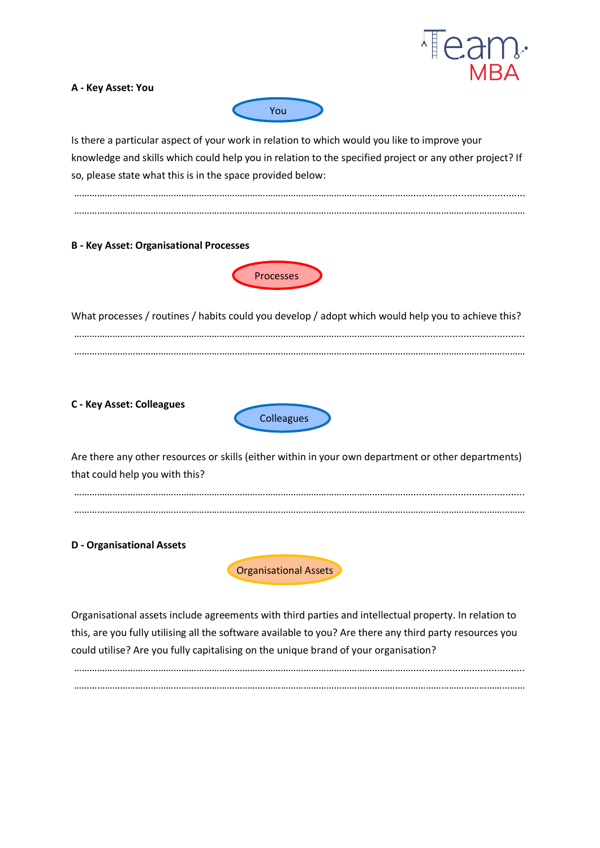